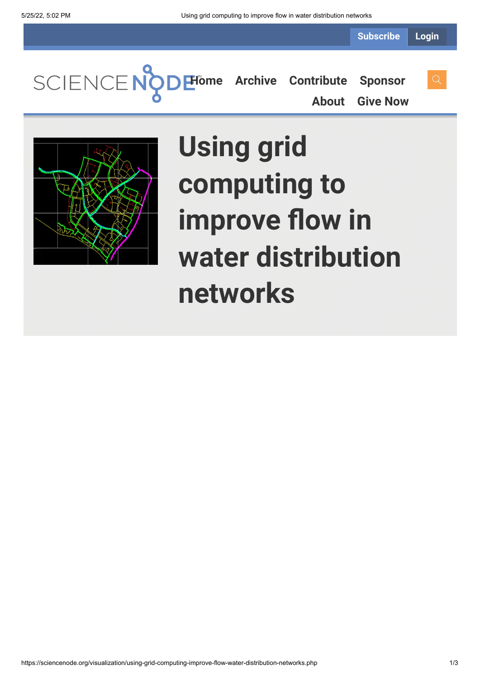**Subscribe Login**

**[Home](https://sciencenode.org/) [Archive](https://sciencenode.org/archive/index.php) [Contribute](https://sciencenode.org/contribute/index.php) [Sponsor](https://sciencenode.org/sponsor/index.php) [About](https://sciencenode.org/about/index.php) [Give Now](https://sciencenode.org/donate/index.php)**

> **Using grid computing to improve flow in water distribution networks**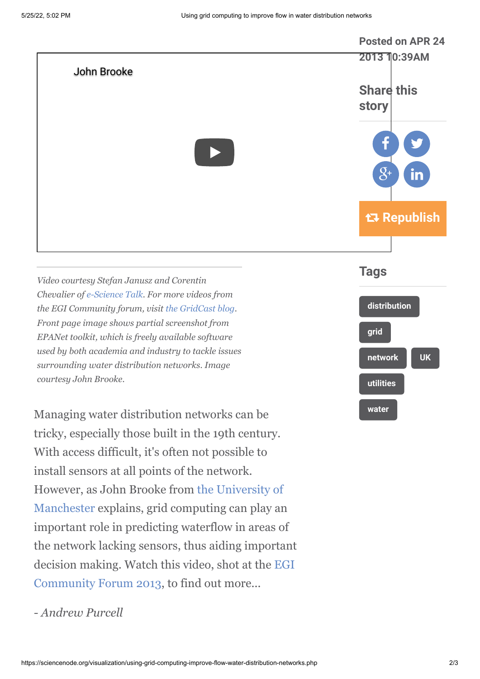

*- Andrew Purcell*

[However, as John Brooke from the University of](http://www.manchester.ac.uk/)

Manchester explains, grid computing can play an

important role in predicting waterflow in areas of

the network lacking sensors, thus aiding important

[decision making. Watch this video, shot at the EGI](http://cf2013.egi.eu/)

Community Forum 2013, to find out more...